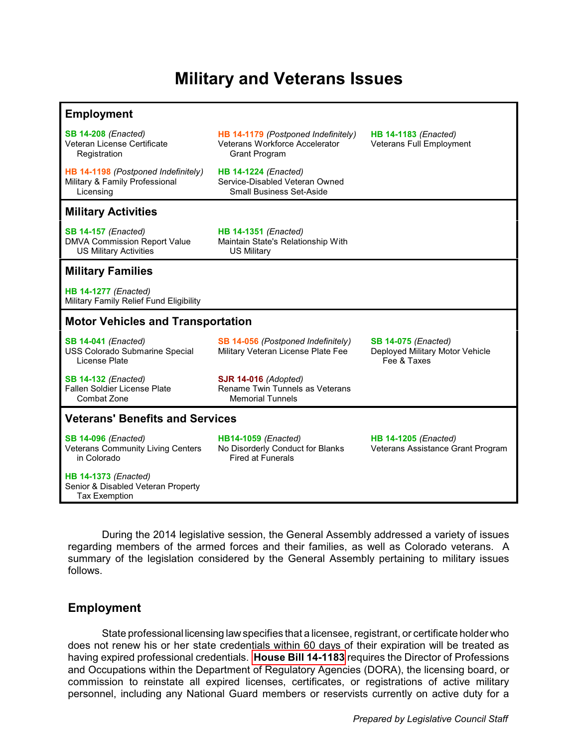# **Military and Veterans Issues**

#### **Employment**

**[SB 14-208](#page-1-0)** *(Enacted)* Veteran License Certificate Registration

**[HB 14-1198](#page-1-0)** *(Postponed Indefinitely)* Military & Family Professional Licensing

**[HB 14-1179](#page-1-0)** *(Postponed Indefinitely)* Veterans Workforce Accelerator Grant Program

**HB 14-1183** *(Enacted)* Veterans Full Employment

**[HB 14-1224](#page-1-0)** *(Enacted)* Service-Disabled Veteran Owned Small Business Set-Aside

## **Military Activities**

**[SB 14-157](#page-1-0)** *(Enacted)* DMVA Commission Report Value US Military Activities

**[HB 14-1351](#page-1-0)** *(Enacted)* Maintain State's Relationship With US Military

### **Military Families**

**[HB 14-1277](#page-2-0)** *(Enacted)* Military Family Relief Fund Eligibility

#### **Motor Vehicles and Transportation**

**[SB 14-041](#page-2-0)** *(Enacted)* USS Colorado Submarine Special License Plate

Military Veteran License Plate Fee

**[SB 14-075](#page-2-0)** *(Enacted)* Deployed Military Motor Vehicle Fee & Taxes

**[SB 14-132](#page-2-0)** *(Enacted)* Fallen Soldier License Plate Combat Zone

**[SJR 14-016](#page-2-0)** *(Adopted)* Rename Twin Tunnels as Veterans Memorial Tunnels

**[SB 14-056](#page-2-0)** *(Postponed Indefinitely)*

#### **Veterans' Benefits and Services**

**[SB 14-096](#page-2-0)** *(Enacted)* Veterans Community Living Centers in Colorado

**[HB 14-1373](#page-3-0)** *(Enacted)* Senior & Disabled Veteran Property Tax Exemption

**[HB14-1059](#page-3-0)** *(Enacted)* No Disorderly Conduct for Blanks Fired at Funerals

**[HB 14-1205](#page-3-0)** *(Enacted)* Veterans Assistance Grant Program

During the 2014 legislative session, the General Assembly addressed a variety of issues regarding members of the armed forces and their families, as well as Colorado veterans. A summary of the legislation considered by the General Assembly pertaining to military issues follows.

## **Employment**

State professional licensing law specifies that a licensee, registrant, or certificate holder who does not renew his or her state credentials within 60 days of their expiration will be treated as having expired professional credentials. **[House Bill 14-1183](http://www.leg.state.co.us/clics/clics2014a/csl.nsf/fsbillcont/86E0AB0767287A6587257C360075F42C?Open&file=1183_enr.pdf)** requires the Director of Professions and Occupations within the Department of Regulatory Agencies (DORA), the licensing board, or commission to reinstate all expired licenses, certificates, or registrations of active military personnel, including any National Guard members or reservists currently on active duty for a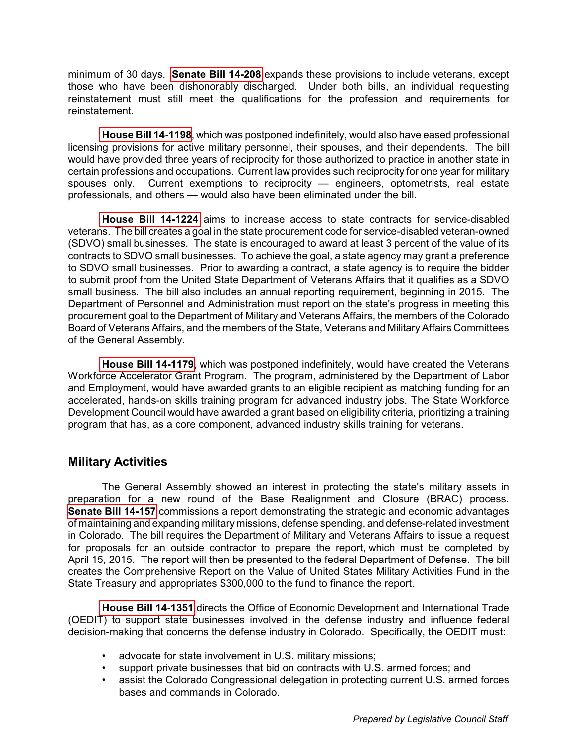<span id="page-1-0"></span>minimum of 30 days. **[Senate Bill 14-208](http://www.leg.state.co.us/clics/clics2014a/csl.nsf/fsbillcont/33915FB2DD73DC5887257CBB00682B4C?Open&file=208_enr.pdf)** expands these provisions to include veterans, except those who have been dishonorably discharged. Under both bills, an individual requesting reinstatement must still meet the qualifications for the profession and requirements for reinstatement.

**[House Bill 14-1198](http://www.leg.state.co.us/clics/clics2014a/csl.nsf/fsbillcont/8B90564B6142F78487257C300005B90E?Open&file=1198_01.pdf)**, which was postponed indefinitely, would also have eased professional licensing provisions for active military personnel, their spouses, and their dependents. The bill would have provided three years of reciprocity for those authorized to practice in another state in certain professions and occupations. Current law provides such reciprocity for one year for military spouses only. Current exemptions to reciprocity — engineers, optometrists, real estate professionals, and others — would also have been eliminated under the bill.

**[House Bill 14-1224](http://www.leg.state.co.us/clics/clics2014a/csl.nsf/fsbillcont/A8496F3D5128E0A087257C0F005436D5?Open&file=1224_enr.pdf)** aims to increase access to state contracts for service-disabled veterans. The bill creates a goal in the state procurement code for service-disabled veteran-owned (SDVO) small businesses. The state is encouraged to award at least 3 percent of the value of its contracts to SDVO small businesses. To achieve the goal, a state agency may grant a preference to SDVO small businesses. Prior to awarding a contract, a state agency is to require the bidder to submit proof from the United State Department of Veterans Affairs that it qualifies as a SDVO small business. The bill also includes an annual reporting requirement, beginning in 2015. The Department of Personnel and Administration must report on the state's progress in meeting this procurement goal to the Department of Military and Veterans Affairs, the members of the Colorado Board of Veterans Affairs, and the members of the State, Veterans and Military Affairs Committees of the General Assembly.

**[House Bill 14-1179](http://www.leg.state.co.us/clics/clics2014a/csl.nsf/fsbillcont/1D0EF01E90BD141787257C5500668A06?Open&file=1179_01.pdf)**, which was postponed indefinitely, would have created the Veterans Workforce Accelerator Grant Program. The program, administered by the Department of Labor and Employment, would have awarded grants to an eligible recipient as matching funding for an accelerated, hands-on skills training program for advanced industry jobs. The State Workforce Development Council would have awarded a grant based on eligibility criteria, prioritizing a training program that has, as a core component, advanced industry skills training for veterans.

## **Military Activities**

The General Assembly showed an interest in protecting the state's military assets in preparation for a new round of the Base Realignment and Closure (BRAC) process. **[Senate Bill 14-157](http://www.leg.state.co.us/clics/clics2014a/csl.nsf/fsbillcont/A5D698AE2EB1296A87257C6700651B54?Open&file=157_enr.pdf)** commissions a report demonstrating the strategic and economic advantages of maintaining and expanding military missions, defense spending, and defense-related investment in Colorado. The bill requires the Department of Military and Veterans Affairs to issue a request for proposals for an outside contractor to prepare the report, which must be completed by April 15, 2015. The report will then be presented to the federal Department of Defense. The bill creates the Comprehensive Report on the Value of United States Military Activities Fund in the State Treasury and appropriates \$300,000 to the fund to finance the report.

**[House Bill 14-1351](http://www.leg.state.co.us/clics/clics2014a/csl.nsf/fsbillcont/504B75AAA4A03F4287257C600073AC9B?Open&file=1351_enr.pdf)** directs the Office of Economic Development and International Trade (OEDIT) to support state businesses involved in the defense industry and influence federal decision-making that concerns the defense industry in Colorado. Specifically, the OEDIT must:

- advocate for state involvement in U.S. military missions;
- support private businesses that bid on contracts with U.S. armed forces; and
- assist the Colorado Congressional delegation in protecting current U.S. armed forces bases and commands in Colorado.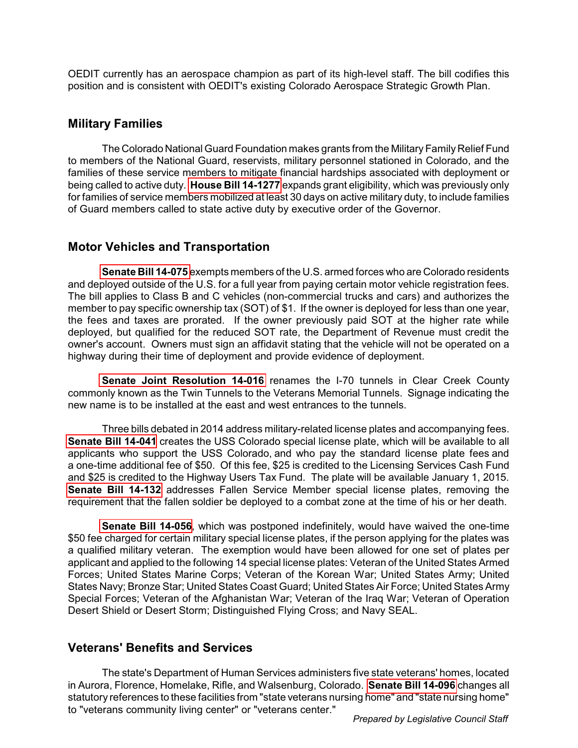<span id="page-2-0"></span>OEDIT currently has an aerospace champion as part of its high-level staff. The bill codifies this position and is consistent with OEDIT's existing Colorado Aerospace Strategic Growth Plan.

## **Military Families**

The Colorado National Guard Foundation makes grants from the Military Family Relief Fund to members of the National Guard, reservists, military personnel stationed in Colorado, and the families of these service members to mitigate financial hardships associated with deployment or being called to active duty. **[House Bill 14-1277](http://www.leg.state.co.us/clics/clics2014a/csl.nsf/fsbillcont/BD9CC2CF6BA7187D87257C740077D6C2?Open&file=1277_enr.pdf)** expands grant eligibility, which was previously only for families of service members mobilized at least 30 days on active military duty, to include families of Guard members called to state active duty by executive order of the Governor.

## **Motor Vehicles and Transportation**

**[Senate Bill 14-075](http://www.leg.state.co.us/clics/clics2014a/csl.nsf/fsbillcont/5C1359BBD104939A87257C300005D64C?Open&file=075_enr.pdf)** exempts members of the U.S. armed forces who are Colorado residents and deployed outside of the U.S. for a full year from paying certain motor vehicle registration fees. The bill applies to Class B and C vehicles (non-commercial trucks and cars) and authorizes the member to pay specific ownership tax (SOT) of \$1. If the owner is deployed for less than one year, the fees and taxes are prorated. If the owner previously paid SOT at the higher rate while deployed, but qualified for the reduced SOT rate, the Department of Revenue must credit the owner's account. Owners must sign an affidavit stating that the vehicle will not be operated on a highway during their time of deployment and provide evidence of deployment.

**[Senate Joint Resolution 14-016](http://www.leg.state.co.us/Clics/CLICS2014A/csl.nsf/fsbillcont3/2CC77EF6076C3AB787257C300005B884?Open&file=SJR016_enr.pdf)** renames the I-70 tunnels in Clear Creek County commonly known as the Twin Tunnels to the Veterans Memorial Tunnels. Signage indicating the new name is to be installed at the east and west entrances to the tunnels.

Three bills debated in 2014 address military-related license plates and accompanying fees. **[Senate Bill 14-041](http://www.leg.state.co.us/clics/clics2014a/csl.nsf/fsbillcont/24AD33ACE1F061FA87257C300006F909?Open&file=041_enr.pdf)** creates the USS Colorado special license plate, which will be available to all applicants who support the USS Colorado, and who pay the standard license plate fees and a one-time additional fee of \$50. Of this fee, \$25 is credited to the Licensing Services Cash Fund and \$25 is credited to the Highway Users Tax Fund. The plate will be available January 1, 2015. **[Senate Bill 14-132](http://www.leg.state.co.us/clics/clics2014a/csl.nsf/fsbillcont/4974CF8F0EFB580D87257C590067DAAE?Open&file=132_enr.pdf)** addresses Fallen Service Member special license plates, removing the requirement that the fallen soldier be deployed to a combat zone at the time of his or her death.

**[Senate Bill 14-056](http://www.leg.state.co.us/clics/clics2014a/csl.nsf/fsbillcont/0BA4B61C429037CC87257C30000701FC?Open&file=056_01.pdf)**, which was postponed indefinitely, would have waived the one-time \$50 fee charged for certain military special license plates, if the person applying for the plates was a qualified military veteran. The exemption would have been allowed for one set of plates per applicant and applied to the following 14 special license plates: Veteran of the United States Armed Forces; United States Marine Corps; Veteran of the Korean War; United States Army; United States Navy; Bronze Star; United States Coast Guard; United States Air Force; United States Army Special Forces; Veteran of the Afghanistan War; Veteran of the Iraq War; Veteran of Operation Desert Shield or Desert Storm; Distinguished Flying Cross; and Navy SEAL.

## **Veterans' Benefits and Services**

The state's Department of Human Services administers five state veterans' homes, located in Aurora, Florence, Homelake, Rifle, and Walsenburg, Colorado. **[Senate Bill 14-096](http://www.leg.state.co.us/Clics/CLICS2014A/csl.nsf/fsbillcont3/C136E10BAD708D2687257C4A0075C709?Open&file=096_enr.pdf)** changes all statutory references to these facilities from "state veterans nursing home" and "state nursing home" to "veterans community living center" or "veterans center."